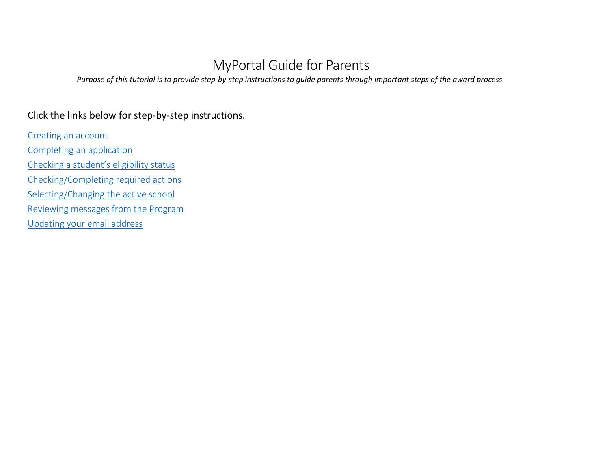# MyPortal Guide for Parents

*Purpose of this tutorial is to provide step-by-step instructions to guide parents through important steps of the award process.* 

# Click the links below for step-by-step instructions.

<span id="page-0-0"></span>[Creating an account](#page-0-0) [Completing an application](#page-1-0) [Checking a student's eligibility](#page-3-0) status [Checking/Completing required actions](#page-5-0) [Selecting/Changing the active school](#page-6-0) [Reviewing messages from the Program](#page-7-0) [Updating your email address](#page-7-1)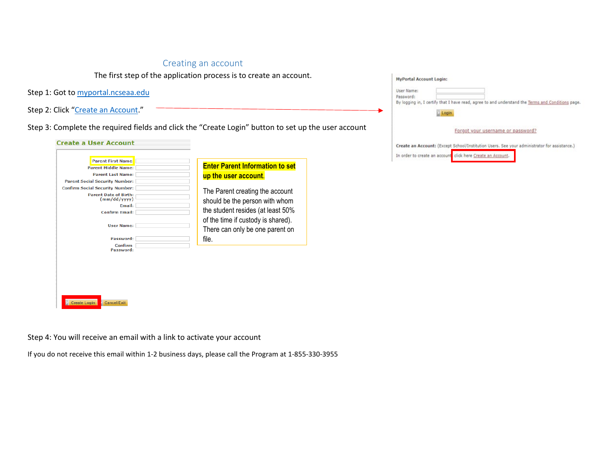## Creating an account

The first step of the application process is to create an account.

Step 1: Got to [myportal.ncseaa.edu](https://myportal.ncseaa.edu/NC/login.aspx?ReturnUrl=%2fNC%2fint%2fFinAid%2findex.aspx) 

Step 2: Click ["Create an Account.](https://myportal.ncseaa.edu/NC/StudentRegisterForLogin.aspx)"

Step 3: Complete the required fields and click the "Create Login" button to set up the user account

| <b>Parent First Name:</b><br><b>Parent Middle Name:</b>                                                                                                                                                                    | <b>Enter Parent Information to set</b>                                                                                                                                                                  |
|----------------------------------------------------------------------------------------------------------------------------------------------------------------------------------------------------------------------------|---------------------------------------------------------------------------------------------------------------------------------------------------------------------------------------------------------|
| <b>Parent Last Name:</b><br><b>Parent Social Security Number:</b><br><b>Confirm Social Security Number:</b><br><b>Parent Date of Birth:</b><br>(mm/dd/yyyy)<br><b>Email:</b><br><b>Confirm Email:</b><br><b>User Name:</b> | up the user account.<br>The Parent creating the account<br>should be the person with whom<br>the student resides (at least 50%<br>of the time if custody is shared).<br>There can only be one parent on |
| Password:<br>Confirm<br>Password:<br><b>Create Login</b><br><b>Cancel/Exit</b>                                                                                                                                             | file.                                                                                                                                                                                                   |

<span id="page-1-0"></span>

| <b>MyPortal Account Login:</b> |                                                                                                   |
|--------------------------------|---------------------------------------------------------------------------------------------------|
| User Name:                     |                                                                                                   |
| Password:                      |                                                                                                   |
|                                | By logging in, I certify that I have read, agree to and understand the Terms and Conditions page. |
| Login                          |                                                                                                   |
|                                | Forgot your username or password?                                                                 |
|                                |                                                                                                   |
|                                | Create an Account: (Except School/Institution Users. See your administrator for assistance.)      |
|                                | In order to create an account click here Create an Account.                                       |

Step 4: You will receive an email with a link to activate your account

If you do not receive this email within 1-2 business days, please call the Program at 1-855-330-3955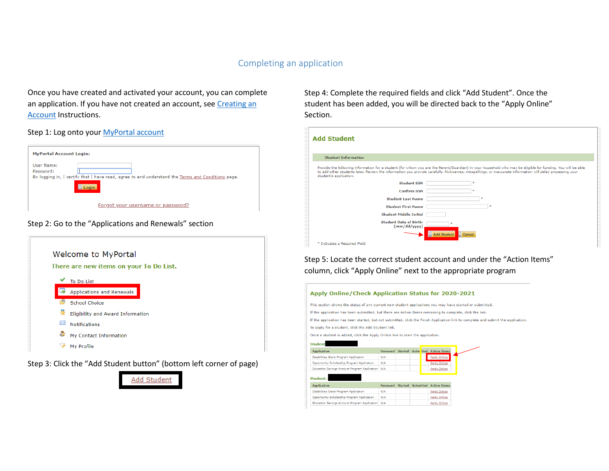#### Completing an application

Once you have created and activated your account, you can complete an application. If you have not created an account, see Creating an [Account](#page-0-0) Instructions.

#### Step 1: Log onto your [MyPortal account](https://myportal.ncseaa.edu/NC/login.aspx?ReturnUrl=%2fNC%2fint%2fFinAid%2findex.aspx)

| <b>MyPortal Account Login:</b>                                                                                                        |
|---------------------------------------------------------------------------------------------------------------------------------------|
| User Name:<br>Password:<br>By logging in, I certify that I have read, agree to and understand the Terms and Conditions page.<br>Login |
| Forgot your username or password?                                                                                                     |

#### Step 2: Go to the "Applications and Renewals" section



Step 3: Click the "Add Student button" (bottom left corner of page)



Step 4: Complete the required fields and click "Add Student". Once the student has been added, you will be directed back to the "Apply Online" Section.

| <b>Add Student</b>                            |                                                                                                                                                                                                                                                                                                                        |
|-----------------------------------------------|------------------------------------------------------------------------------------------------------------------------------------------------------------------------------------------------------------------------------------------------------------------------------------------------------------------------|
| <b>Student Information</b>                    |                                                                                                                                                                                                                                                                                                                        |
| student's application.                        | Provide the following information for a student (for whom you are the Parent/Guardian) in your household who may be eligible for funding. You will be able<br>to add other students later. Review the information you provide carefully. Nicknames, misspellings, or inaccurate information will delay processing your |
| <b>Student SSN</b>                            | sk.                                                                                                                                                                                                                                                                                                                    |
| <b>Confirm SSN</b>                            |                                                                                                                                                                                                                                                                                                                        |
| <b>Student Last Name</b>                      |                                                                                                                                                                                                                                                                                                                        |
| <b>Student First Name</b>                     |                                                                                                                                                                                                                                                                                                                        |
| <b>Student Middle Initial</b>                 |                                                                                                                                                                                                                                                                                                                        |
| <b>Student Date of Birth:</b><br>(mm/dd/yyyy) |                                                                                                                                                                                                                                                                                                                        |
|                                               | <b>Add Student</b><br>Cancel                                                                                                                                                                                                                                                                                           |
| * Indicates a Required Field                  |                                                                                                                                                                                                                                                                                                                        |

Step 5: Locate the correct student account and under the "Action Items" column, click "Apply Online" next to the appropriate program

#### Apply Online/Check Application Status for 2020-2021

This section shows the status of any current new student applications you may have started or submitted.

If the application has been submitted, but there are Action Items remaining to complete, click the link.

If the application has been started, but not submitted, click the Finish Application link to complete and submit the application.

To apply for a student, click the Add Student link.

Once a student is added, click the Apply Online link to start the application.

| <b>Student</b>                                    |                |                |           |                     |
|---------------------------------------------------|----------------|----------------|-----------|---------------------|
| <b>Application</b>                                | Renewed        | <b>Started</b> | Subm tted | <b>Action Items</b> |
| Disabilities Grant Program Application            | N/A            |                |           | <b>Apply Online</b> |
| Opportunity Scholarship Program Application       | N/A            |                |           | <b>Apply Online</b> |
| Education Savings Account Program Application N/A |                |                |           | <b>Apply Online</b> |
| Student:<br><b>Application</b>                    | <b>Renewed</b> | <b>Started</b> | Submitted | <b>Action Trems</b> |
| <b>Disabilities Grant Program Application</b>     | N/A            |                |           | <b>Apply Online</b> |
| Opportunity Scholarship Program Application       | N/A            |                |           | <b>Apply Online</b> |
| Education Savings Account Program Application N/A |                |                |           | Apply Online        |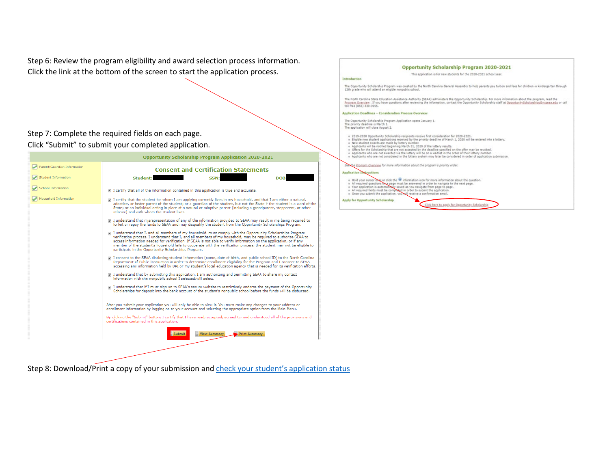Step 6: Review the program eligibility and award selection process information. Click the link at the bottom of the screen to start the application process.

#### Step 7: Complete the required fields on each page. Click "Submit" to submit your completed application.

|                             | <b>Opportunity Scholarship Program Application 2020-2021</b>                                                                                                                                                                                                                                                                                                                                                                                                                                                                               |
|-----------------------------|--------------------------------------------------------------------------------------------------------------------------------------------------------------------------------------------------------------------------------------------------------------------------------------------------------------------------------------------------------------------------------------------------------------------------------------------------------------------------------------------------------------------------------------------|
| Parent/Guardian Information | <b>Consent and Certification Statements</b>                                                                                                                                                                                                                                                                                                                                                                                                                                                                                                |
| <b>Student Information</b>  | SSN:<br>Student:<br><b>DOB</b>                                                                                                                                                                                                                                                                                                                                                                                                                                                                                                             |
| <b>School Information</b>   | I certify that all of the information contained in this application is true and accurate.                                                                                                                                                                                                                                                                                                                                                                                                                                                  |
| Household Information       | I certify that the student for whom I am applying currently lives in my household, and that I am either a natural,<br>adoptive, or foster parent of the student; or a quardian of the student, but not the State if the student is a ward of the<br>State: or an individual acting in place of a natural or adoptive parent (including a grandparent, stepparent, or other<br>relative) and with whom the student lives.                                                                                                                   |
|                             | 7 I understand that misrepresentation of any of the information provided to SEAA may result in me being required to<br>forfeit or repay the funds to SEAA and may disqualify the student from the Opportunity Scholarships Program,                                                                                                                                                                                                                                                                                                        |
|                             | 7 I understand that I, and all members of my household, must comply with the Opportunity Scholarships Program<br>verification process. I understand that I, and all members of my household, may be required to authorize SEAA to<br>access information needed for verification. If SEAA is not able to verify information on the application, or if any<br>member of the student's household fails to cooperate with the verification process, the student may not be eligible to<br>participate in the Opportunity Scholarships Program. |
|                             | 7 I consent to the SEAA disclosing student information (name, date of birth, and public school ID) to the North Carolina<br>Department of Public Instruction in order to determine enrollment eligibility for the Program and I consent to SEAA<br>accessing any information held by DPI or my student's local education agency that is needed for its verification efforts.                                                                                                                                                               |
|                             | 7 I understand that by submitting this application, I am authorizing and permitting SEAA to share my contact<br>information with the nonpublic school I selected/will select.                                                                                                                                                                                                                                                                                                                                                              |
|                             | 7 I understand that if I must sign on to SEAA's secure website to restrictively endorse the payment of the Opportunity<br>Scholarships for deposit into the bank account of the student's nonpublic school before the funds will be disbursed.                                                                                                                                                                                                                                                                                             |
|                             | After you submit your application you will only be able to view it. You must make any changes to your address or<br>enrollment information by logging on to your account and selecting the appropriate option from the Main Menu.                                                                                                                                                                                                                                                                                                          |
|                             | By clicking the "Submit" button, I certify that I have read, accepted, agreed to, and understood all of the provisions and<br>certifications contained in this application.                                                                                                                                                                                                                                                                                                                                                                |
|                             | <b>View Summary</b><br>Print Summary<br><b>Submit</b>                                                                                                                                                                                                                                                                                                                                                                                                                                                                                      |
|                             |                                                                                                                                                                                                                                                                                                                                                                                                                                                                                                                                            |

Introduction The Opportunity Scholarship Program was created by the North Carolina General Assembly to help parents pay tuition and fees for children in kindergarten through<br>12th grade who will attend an eligible nonpublic school. The North Carolina State Education Assistance Authority (SEAA) administers the Opportunity Scholarship. For more information about the program, read the Program Overview . If you have questions after reviewing the information, contact the Opportunity Scholarship staff at <u>OpportunityScholarships@ncseaa.edu</u> or call<br>toll free (855) 330-3955. Application Deadlines - Consideration Process Overview The Opportunity Scholarship Program Application opens January 1.<br>The priority deadline is March 1.<br>The application will close August 2.  $\begin{array}{l} \texttt{+ 0015-2020}\text{ Oppotumity Scholarship recipients receive first consistency for 2020-2021,}\newline \texttt{= 101015-2020}\text{ Uppotrum studets for 10100}\newline \texttt{= 101015-2020}\newline \texttt{= 101015-2020}\newline \texttt{= 101015-2020}\newline \texttt{= 101015-2020}\newline \texttt{= 101015-2020}\newline \texttt{= 101015-2020}\newline \texttt{= 101015-2020}\newline \$ See the Program Overview for more information about the program's priority order. Application e Hold your cursor over or click the  $\blacksquare$  information icon for more information about the question.<br>  $\approx$  All required questions are pape must be answered in order to navigate to the next page.<br>  $\approx$  Your application is Apply for Opportunity Scholarship Click here to apply for Opportunity Scholarship

**Opportunity Scholarship Program 2020-2021** This application is for new students for the 2020-2021 school year.

<span id="page-3-0"></span>Step 8: Download/Print a copy of your submission and check your student's application status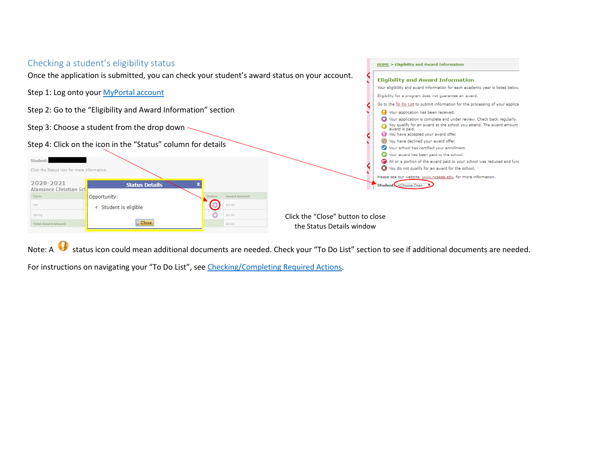#### Checking a student's eligibility status **HOME** > Eligibility and Award Information Once the application is submitted, you can check your student's award status on your account. **Eligibility and Award Information** Your eligibility and award information for each academic year is listed below. Step 1: Log onto your [MyPortal account](https://myportal.ncseaa.edu/NC/login.aspx?ReturnUrl=%2fNC%2fint%2fFinAid%2findex.aspx) Eligibility for a program does not guarantee an award. Go to the To Do List to submit information for the processing of your applica Step 2: Go to the "Eligibility and Award Information" section Vour application has been received. Your application is complete and under review. Check back regularly. We can applicate the complete and ander review entert between egalary. Step 3: Choose a student from the drop down award is paid. You have accepted your award offer.  $\circledcirc$ You have declined your award offer. Step 4: Click on the icon in the "Status" column for details Vour school has certified your enrollment. S Your award has been paid to the school. Student: All or a portion of the award paid to your school was reduced and fund **13** You do not qualify for an award for the school. Click the Status icon for more information Please see our website, www.ncseaa.edu, for more information. 2020-2021 **Status Details** Student <Choose One> Alamance Christian Scl Term Opportunity: Award Amount  $\bigcirc$ Fall \$0.00 o Student is eligible  $\circ$ \$0.00 Spring Click the "Close" button to close **Close** Total Award Amoun  $$0.00$ the Status Details window

Note: A status icon could mean additional documents are needed. Check your "To Do List" section to see if additional documents are needed.

For instructions on navigating your "To Do List", see [Checking/Completing Required Actions.](#page-5-0)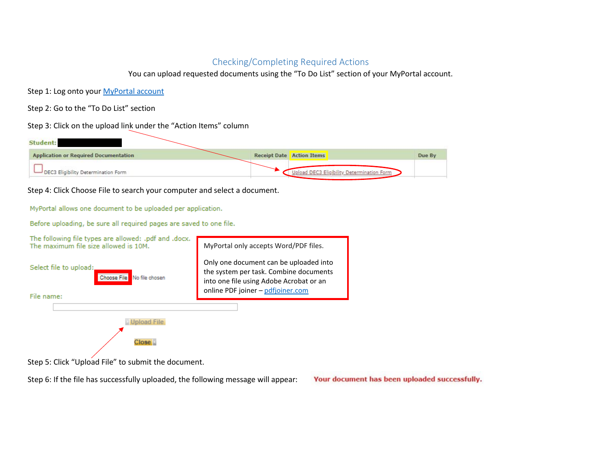### Checking/Completing Required Actions

You can upload requested documents using the "To Do List" section of your MyPortal account.

<span id="page-5-0"></span>Step 1: Log onto your [MyPortal account](https://myportal.ncseaa.edu/NC/login.aspx?ReturnUrl=%2fNC%2fint%2fFinAid%2findex.aspx)

Step 2: Go to the "To Do List" section

Step 3: Click on the upload link under the "Action Items" column

| Student:                                     |                                            |        |
|----------------------------------------------|--------------------------------------------|--------|
| <b>Application or Required Documentation</b> | Receipt Date Action Items                  | Due By |
| DEC3 Eligibility Determination Form          | Upload DEC3 Eligibility Determination Form |        |

Step 4: Click Choose File to search your computer and select a document.

MyPortal allows one document to be uploaded per application.

Before uploading, be sure all required pages are saved to one file.



Step 6: If the file has successfully uploaded, the following message will appear:

Your document has been uploaded successfully.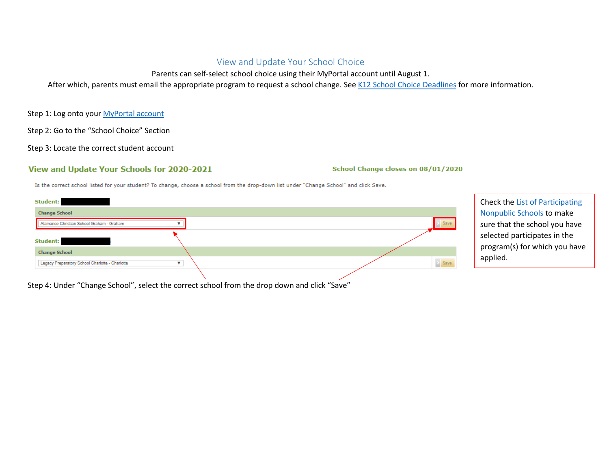## View and Update Your School Choice

Parents can self-select school choice using their MyPortal account until August 1.

<span id="page-6-0"></span>After which, parents must email the appropriate program to request a school change. Se[e K12 School Choice Deadlines](http://www.ncseaa.edu/pdf/K12%20School%20Choice%20Deadlines.pdf) for more information.

Step 1: Log onto your [MyPortal account](https://myportal.ncseaa.edu/NC/login.aspx?ReturnUrl=%2fNC%2fint%2fFinAid%2findex.aspx)

Step 2: Go to the "School Choice" Section

Step 3: Locate the correct student account

#### View and Update Your Schools for 2020-2021

School Change closes on 08/01/2020

Is the correct school listed for your student? To change, choose a school from the drop-down list under "Change School" and click Save.



Check the [List of Participating](https://myportal.ncseaa.edu/NC/NonpublicSchools.aspx)  [Nonpublic Schools](https://myportal.ncseaa.edu/NC/NonpublicSchools.aspx) to make sure that the school you have selected participates in the program(s) for which you have applied.

Step 4: Under "Change School", select the correct school from the drop down and click "Save"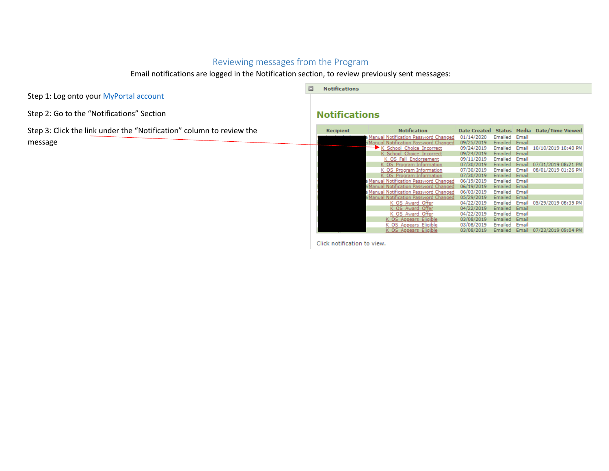# Reviewing messages from the Program

Email notifications are logged in the Notification section, to review previously sent messages:

<span id="page-7-0"></span>Step 1: Log onto your [MyPortal account](https://myportal.ncseaa.edu/NC/login.aspx?ReturnUrl=%2fNC%2fint%2fFinAid%2findex.aspx)

Step 2: Go to the "Notifications" Section

Step 3: Click the link under the "Notification" column to review the message

#### $\Box$  Notifications

# **Notifications**

| <b>Recipient</b> | <b>Notification</b>                    | Date Created Status |         |       | Media Date/Time Viewed |
|------------------|----------------------------------------|---------------------|---------|-------|------------------------|
|                  | Manual Notification Password Changed   | 01/14/2020          | Emailed | Email |                        |
|                  | Manual Notification Password Changed   | 09/25/2019          | Emailed | Email |                        |
|                  | K School Choice Incorrect              | 09/24/2019          | Emailed | Email | 10/10/2019 10:40 PM    |
|                  | K School Choice Incorrect              | 09/24/2019          | Emailed | Email |                        |
|                  | K OS Fall Endorsement                  | 09/11/2019          | Emailed | Email |                        |
|                  | K OS Program Information               | 07/30/2019          | Emailed | Email | 07/31/2019 08:21 PM    |
|                  | K OS Program Information               | 07/30/2019          | Emailed | Email | 08/01/2019 01:26 PM    |
|                  | K OS Program Information               | 07/30/2019          | Emailed | Email |                        |
|                  | a Manual Notification Password Changed | 06/19/2019          | Emailed | Email |                        |
|                  | Manual Notification Password Changed   | 06/19/2019          | Emailed | Email |                        |
|                  | a Manual Notification Password Changed | 06/03/2019          | Emailed | Email |                        |
|                  | Manual Notification Password Changed   | 05/29/2019          | Emailed | Email |                        |
|                  | K OS Award Offer                       | 04/22/2019          | Emailed | Email | 05/29/2019 08:35 PM    |
|                  | K OS Award Offer                       | 04/22/2019          | Emailed | Email |                        |
|                  | K OS Award Offer                       | 04/22/2019          | Emailed | Email |                        |
|                  | K OS Appears Eligible                  | 03/08/2019          | Emailed | Email |                        |
|                  | K OS Appears Eligible                  | 03/08/2019          | Emailed | Email |                        |
|                  | K OS Appears Eligible                  | 03/08/2019          | Emailed | Email | 07/23/2019 09:04 PM    |

<span id="page-7-1"></span>Click notification to view.